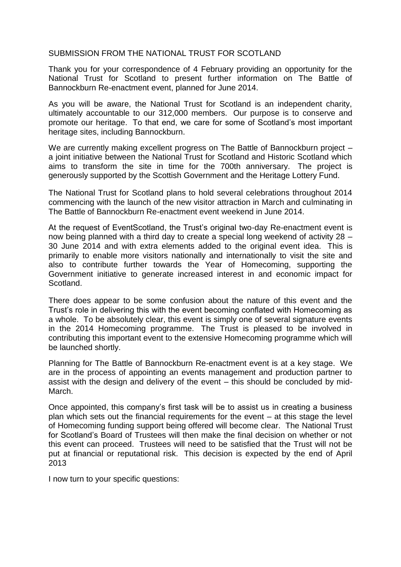## SUBMISSION FROM THE NATIONAL TRUST FOR SCOTLAND

Thank you for your correspondence of 4 February providing an opportunity for the National Trust for Scotland to present further information on The Battle of Bannockburn Re-enactment event, planned for June 2014.

As you will be aware, the National Trust for Scotland is an independent charity, ultimately accountable to our 312,000 members. Our purpose is to conserve and promote our heritage. To that end, we care for some of Scotland's most important heritage sites, including Bannockburn.

We are currently making excellent progress on The Battle of Bannockburn project – a joint initiative between the National Trust for Scotland and Historic Scotland which aims to transform the site in time for the 700th anniversary. The project is generously supported by the Scottish Government and the Heritage Lottery Fund.

The National Trust for Scotland plans to hold several celebrations throughout 2014 commencing with the launch of the new visitor attraction in March and culminating in The Battle of Bannockburn Re-enactment event weekend in June 2014.

At the request of EventScotland, the Trust's original two-day Re-enactment event is now being planned with a third day to create a special long weekend of activity 28 – 30 June 2014 and with extra elements added to the original event idea. This is primarily to enable more visitors nationally and internationally to visit the site and also to contribute further towards the Year of Homecoming, supporting the Government initiative to generate increased interest in and economic impact for Scotland.

There does appear to be some confusion about the nature of this event and the Trust's role in delivering this with the event becoming conflated with Homecoming as a whole. To be absolutely clear, this event is simply one of several signature events in the 2014 Homecoming programme. The Trust is pleased to be involved in contributing this important event to the extensive Homecoming programme which will be launched shortly.

Planning for The Battle of Bannockburn Re-enactment event is at a key stage. We are in the process of appointing an events management and production partner to assist with the design and delivery of the event – this should be concluded by mid-March.

Once appointed, this company's first task will be to assist us in creating a business plan which sets out the financial requirements for the event – at this stage the level of Homecoming funding support being offered will become clear. The National Trust for Scotland's Board of Trustees will then make the final decision on whether or not this event can proceed. Trustees will need to be satisfied that the Trust will not be put at financial or reputational risk. This decision is expected by the end of April 2013

I now turn to your specific questions: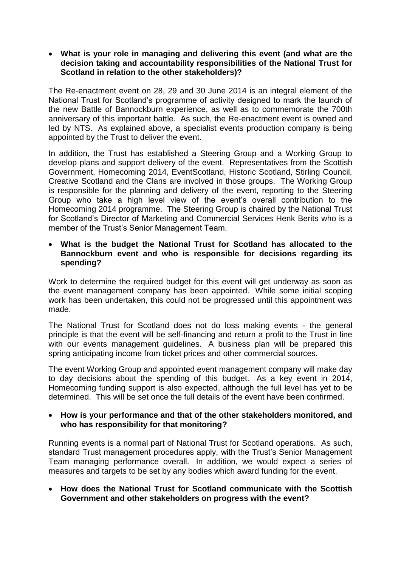**What is your role in managing and delivering this event (and what are the decision taking and accountability responsibilities of the National Trust for Scotland in relation to the other stakeholders)?**

The Re-enactment event on 28, 29 and 30 June 2014 is an integral element of the National Trust for Scotland's programme of activity designed to mark the launch of the new Battle of Bannockburn experience, as well as to commemorate the 700th anniversary of this important battle. As such, the Re-enactment event is owned and led by NTS. As explained above, a specialist events production company is being appointed by the Trust to deliver the event.

In addition, the Trust has established a Steering Group and a Working Group to develop plans and support delivery of the event. Representatives from the Scottish Government, Homecoming 2014, EventScotland, Historic Scotland, Stirling Council, Creative Scotland and the Clans are involved in those groups. The Working Group is responsible for the planning and delivery of the event, reporting to the Steering Group who take a high level view of the event's overall contribution to the Homecoming 2014 programme. The Steering Group is chaired by the National Trust for Scotland's Director of Marketing and Commercial Services Henk Berits who is a member of the Trust's Senior Management Team.

 **What is the budget the National Trust for Scotland has allocated to the Bannockburn event and who is responsible for decisions regarding its spending?**

Work to determine the required budget for this event will get underway as soon as the event management company has been appointed. While some initial scoping work has been undertaken, this could not be progressed until this appointment was made.

The National Trust for Scotland does not do loss making events - the general principle is that the event will be self-financing and return a profit to the Trust in line with our events management guidelines. A business plan will be prepared this spring anticipating income from ticket prices and other commercial sources.

The event Working Group and appointed event management company will make day to day decisions about the spending of this budget. As a key event in 2014, Homecoming funding support is also expected, although the full level has yet to be determined. This will be set once the full details of the event have been confirmed.

## **How is your performance and that of the other stakeholders monitored, and who has responsibility for that monitoring?**

Running events is a normal part of National Trust for Scotland operations. As such, standard Trust management procedures apply, with the Trust's Senior Management Team managing performance overall. In addition, we would expect a series of measures and targets to be set by any bodies which award funding for the event.

 **How does the National Trust for Scotland communicate with the Scottish Government and other stakeholders on progress with the event?**